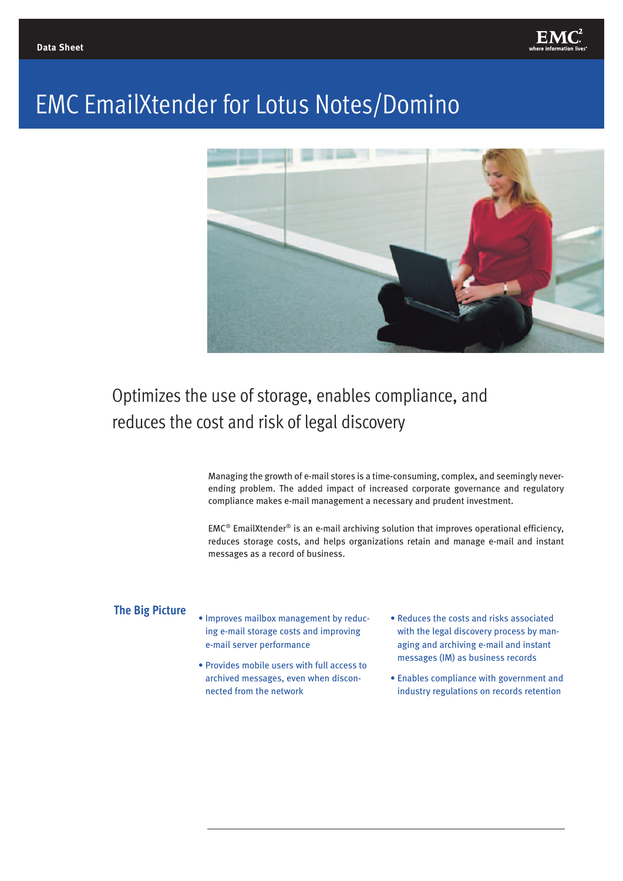

# EMC EmailXtender for Lotus Notes/Domino



# Optimizes the use of storage, enables compliance, and reduces the cost and risk of legal discovery

Managing the growth of e-mail stores is a time-consuming, complex, and seemingly neverending problem. The added impact of increased corporate governance and regulatory compliance makes e-mail management a necessary and prudent investment.

 $EMC<sup>®</sup>$  EmailXtender<sup>®</sup> is an e-mail archiving solution that improves operational efficiency, reduces storage costs, and helps organizations retain and manage e-mail and instant messages as a record of business.

#### **The Big Picture**

- Improves mailbox management by reducing e-mail storage costs and improving e-mail server performance
- Provides mobile users with full access to archived messages, even when disconnected from the network
- Reduces the costs and risks associated with the legal discovery process by managing and archiving e-mail and instant messages (IM) as business records
- Enables compliance with government and industry regulations on records retention